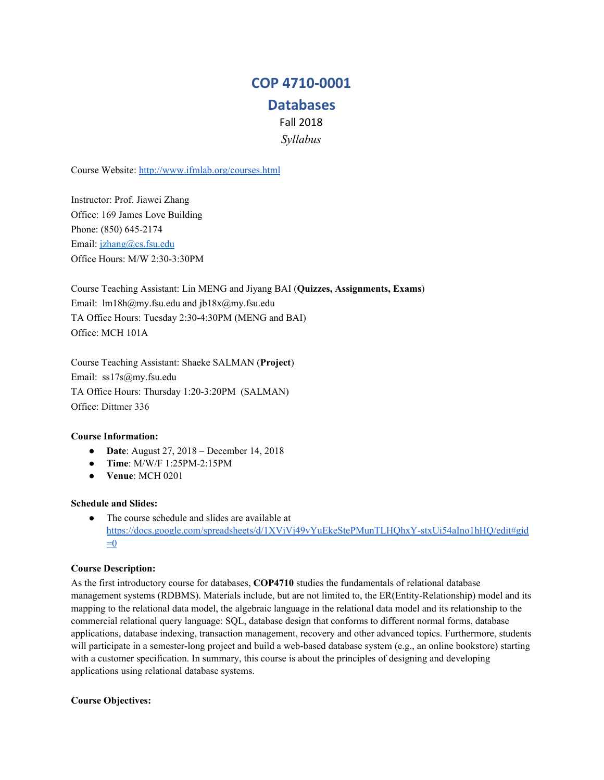## **COP 4710-0001**

# **Databases**

Fall 2018

*Syllabus*

Course Website: <http://www.ifmlab.org/courses.html>

Instructor: Prof. Jiawei Zhang Office: 169 James Love Building Phone: (850) 645-2174 Email: [jzhang@cs.fsu.edu](mailto:jzhang@cs.fsu.edu) Office Hours: M/W 2:30-3:30PM

Course Teaching Assistant: Lin MENG and Jiyang BAI (**Quizzes, Assignments, Exams**) Email: lm18h@my.fsu.edu and jb18x@my.fsu.edu TA Office Hours: Tuesday 2:30-4:30PM (MENG and BAI) Office: MCH 101A

Course Teaching Assistant: Shaeke SALMAN (**Project**) Email: ss17s@my.fsu.edu TA Office Hours: Thursday 1:20-3:20PM (SALMAN) Office: Dittmer 336

## **Course Information:**

- **Date**: August 27, 2018 December 14, 2018
- **Time**: M/W/F 1:25PM-2:15PM
- **Venue**: MCH 0201

## **Schedule and Slides:**

● The course schedule and slides are available at [https://docs.google.com/spreadsheets/d/1XViVj49vYuEkeStePMunTLHQhxY-stxUi54aIno1hHQ/edit#gid](https://docs.google.com/spreadsheets/d/1XViVj49vYuEkeStePMunTLHQhxY-stxUi54aIno1hHQ/edit#gid=0)  $=0$ 

## **Course Description:**

As the first introductory course for databases, **COP4710** studies the fundamentals of relational database management systems (RDBMS). Materials include, but are not limited to, the ER(Entity-Relationship) model and its mapping to the relational data model, the algebraic language in the relational data model and its relationship to the commercial relational query language: SQL, database design that conforms to different normal forms, database applications, database indexing, transaction management, recovery and other advanced topics. Furthermore, students will participate in a semester-long project and build a web-based database system (e.g., an online bookstore) starting with a customer specification. In summary, this course is about the principles of designing and developing applications using relational database systems.

## **Course Objectives:**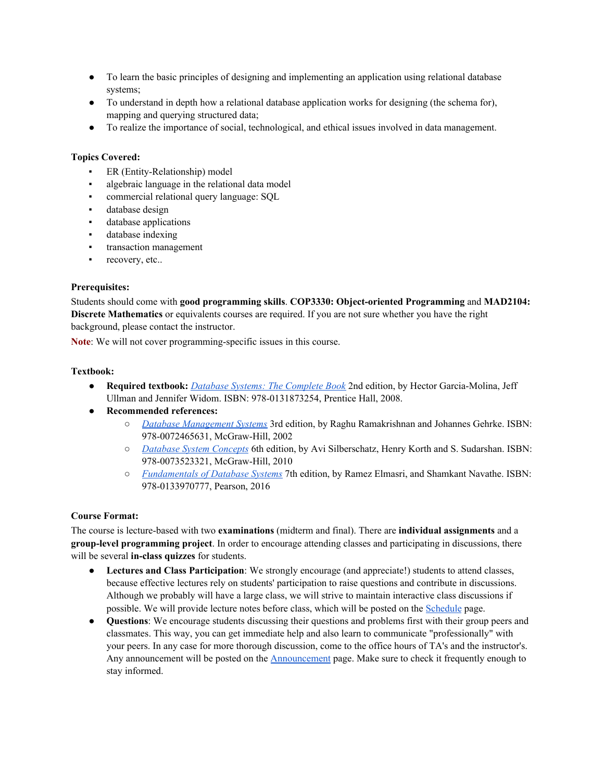- To learn the basic principles of designing and implementing an application using relational database systems;
- To understand in depth how a relational database application works for designing (the schema for), mapping and querying structured data;
- To realize the importance of social, technological, and ethical issues involved in data management.

## **Topics Covered:**

- ER (Entity-Relationship) model
- algebraic language in the relational data model
- commercial relational query language: SQL
- database design
- database applications
- database indexing
- transaction management
- **•** recovery, etc..

## **Prerequisites:**

Students should come with **good programming skills**. **COP3330: Object-oriented Programming** and **MAD2104: Discrete Mathematics** or equivalents courses are required. If you are not sure whether you have the right background, please contact the instructor.

**Note**: We will not cover programming-specific issues in this course.

## **Textbook:**

- **Required textbook:** *Database Systems: The [Complete](http://infolab.stanford.edu/~ullman/dscb.html) Book* 2nd edition, by Hector Garcia-Molina, Jeff Ullman and Jennifer Widom. ISBN: 978-0131873254, Prentice Hall, 2008.
- **Recommended references:**
	- *Database [Management](http://pages.cs.wisc.edu/~dbbook/) Systems* 3rd edition, by Raghu Ramakrishnan and Johannes Gehrke. ISBN: 978-0072465631, McGraw-Hill, 2002
	- *[Database](http://codex.cs.yale.edu/avi/db-book/) System Concepts* 6th edition, by Avi Silberschatz, Henry Korth and S. Sudarshan. ISBN: 978-0073523321, McGraw-Hill, 2010
	- *[Fundamentals](http://www.pearsonhighered.com/educator/product/Fundamentals-of-Database-Systems-7E/9780133970777.page) of Database Systems* 7th edition, by Ramez Elmasri, and Shamkant Navathe. ISBN: 978-0133970777, Pearson, 2016

## **Course Format:**

The course is lecture-based with two **examinations** (midterm and final). There are **individual assignments** and a **group-level programming project**. In order to encourage attending classes and participating in discussions, there will be several **in-class quizzes** for students.

- **Lectures and Class Participation**: We strongly encourage (and appreciate!) students to attend classes, because effective lectures rely on students' participation to raise questions and contribute in discussions. Although we probably will have a large class, we will strive to maintain interactive class discussions if possible. We will provide lecture notes before class, which will be posted on the [Schedule](http://www.cs.fsu.edu/~zhao/cop4710/schedule.html) page.
- **Questions**: We encourage students discussing their questions and problems first with their group peers and classmates. This way, you can get immediate help and also learn to communicate "professionally" with your peers. In any case for more thorough discussion, come to the office hours of TA's and the instructor's. Any announcement will be posted on the **[Announcement](http://www.cs.fsu.edu/~zhao/cop4710/announcement.html)** page. Make sure to check it frequently enough to stay informed.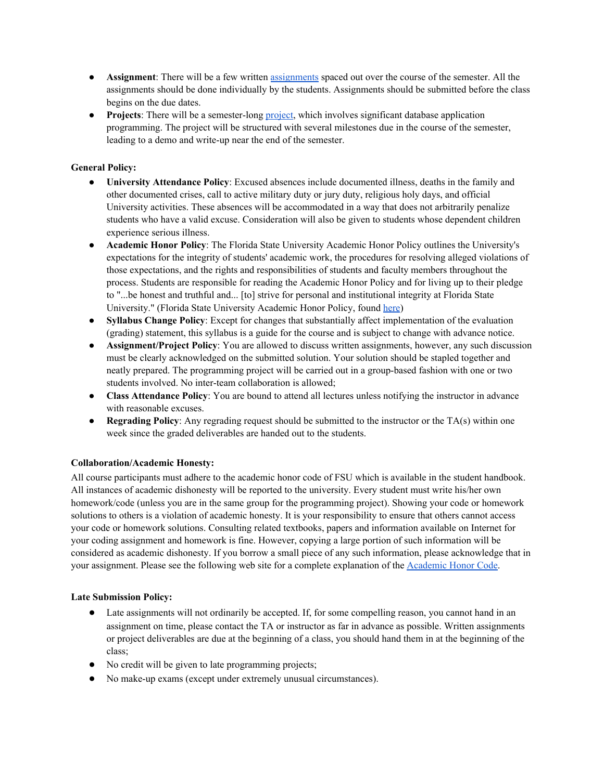- **Assignment**: There will be a few written [assignments](http://www.cs.fsu.edu/~zhao/cop4710/assignment.html) spaced out over the course of the semester. All the assignments should be done individually by the students. Assignments should be submitted before the class begins on the due dates.
- **Projects**: There will be a semester-long [project](http://www.cs.fsu.edu/~zhao/cop4710/project.html), which involves significant database application programming. The project will be structured with several milestones due in the course of the semester, leading to a demo and write-up near the end of the semester.

## **General Policy:**

- **University Attendance Policy**: Excused absences include documented illness, deaths in the family and other documented crises, call to active military duty or jury duty, religious holy days, and official University activities. These absences will be accommodated in a way that does not arbitrarily penalize students who have a valid excuse. Consideration will also be given to students whose dependent children experience serious illness.
- **Academic Honor Policy**: The Florida State University Academic Honor Policy outlines the University's expectations for the integrity of students' academic work, the procedures for resolving alleged violations of those expectations, and the rights and responsibilities of students and faculty members throughout the process. Students are responsible for reading the Academic Honor Policy and for living up to their pledge to "...be honest and truthful and... [to] strive for personal and institutional integrity at Florida State University." (Florida State University Academic Honor Policy, found [here\)](http://academichonor.fsu.edu/policy/policy.html)
- **Syllabus Change Policy**: Except for changes that substantially affect implementation of the evaluation (grading) statement, this syllabus is a guide for the course and is subject to change with advance notice.
- **Assignment/Project Policy**: You are allowed to discuss written assignments, however, any such discussion must be clearly acknowledged on the submitted solution. Your solution should be stapled together and neatly prepared. The programming project will be carried out in a group-based fashion with one or two students involved. No inter-team collaboration is allowed;
- **Class Attendance Policy**: You are bound to attend all lectures unless notifying the instructor in advance with reasonable excuses.
- **Regrading Policy**: Any regrading request should be submitted to the instructor or the TA(s) within one week since the graded deliverables are handed out to the students.

## **Collaboration/Academic Honesty:**

All course participants must adhere to the academic honor code of FSU which is available in the student handbook. All instances of academic dishonesty will be reported to the university. Every student must write his/her own homework/code (unless you are in the same group for the programming project). Showing your code or homework solutions to others is a violation of academic honesty. It is your responsibility to ensure that others cannot access your code or homework solutions. Consulting related textbooks, papers and information available on Internet for your coding assignment and homework is fine. However, copying a large portion of such information will be considered as academic dishonesty. If you borrow a small piece of any such information, please acknowledge that in your assignment. Please see the following web site for a complete explanation of the [Academic](http://academichonor.fsu.edu/) Honor Code.

## **Late Submission Policy:**

- Late assignments will not ordinarily be accepted. If, for some compelling reason, you cannot hand in an assignment on time, please contact the TA or instructor as far in advance as possible. Written assignments or project deliverables are due at the beginning of a class, you should hand them in at the beginning of the class;
- No credit will be given to late programming projects;
- No make-up exams (except under extremely unusual circumstances).